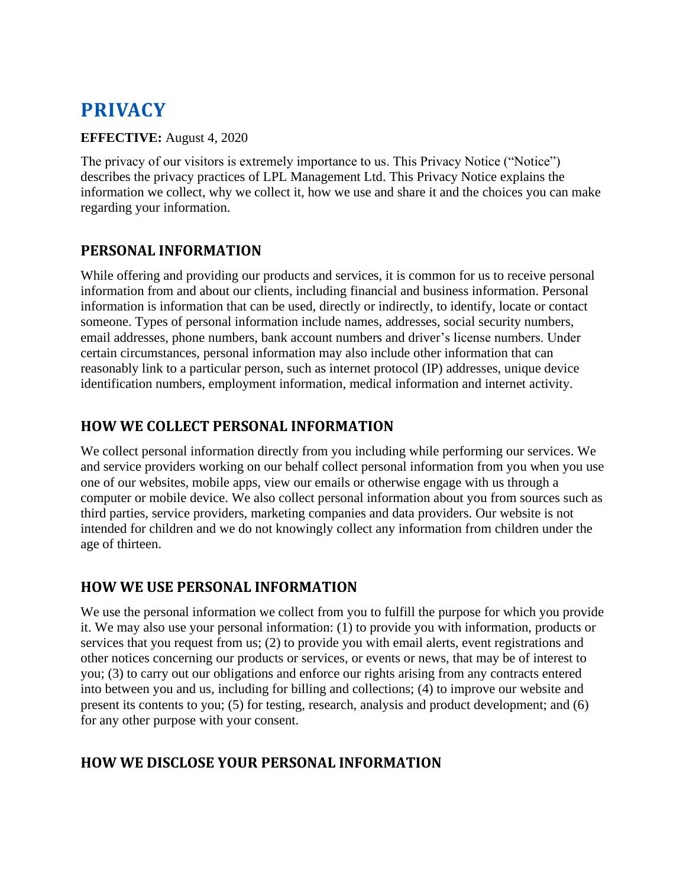# **PRIVACY**

#### **EFFECTIVE:** August 4, 2020

The privacy of our visitors is extremely importance to us. This Privacy Notice ("Notice") describes the privacy practices of LPL Management Ltd. This Privacy Notice explains the information we collect, why we collect it, how we use and share it and the choices you can make regarding your information.

# **PERSONAL INFORMATION**

While offering and providing our products and services, it is common for us to receive personal information from and about our clients, including financial and business information. Personal information is information that can be used, directly or indirectly, to identify, locate or contact someone. Types of personal information include names, addresses, social security numbers, email addresses, phone numbers, bank account numbers and driver's license numbers. Under certain circumstances, personal information may also include other information that can reasonably link to a particular person, such as internet protocol (IP) addresses, unique device identification numbers, employment information, medical information and internet activity.

## **HOW WE COLLECT PERSONAL INFORMATION**

We collect personal information directly from you including while performing our services. We and service providers working on our behalf collect personal information from you when you use one of our websites, mobile apps, view our emails or otherwise engage with us through a computer or mobile device. We also collect personal information about you from sources such as third parties, service providers, marketing companies and data providers. Our website is not intended for children and we do not knowingly collect any information from children under the age of thirteen.

## **HOW WE USE PERSONAL INFORMATION**

We use the personal information we collect from you to fulfill the purpose for which you provide it. We may also use your personal information: (1) to provide you with information, products or services that you request from us; (2) to provide you with email alerts, event registrations and other notices concerning our products or services, or events or news, that may be of interest to you; (3) to carry out our obligations and enforce our rights arising from any contracts entered into between you and us, including for billing and collections; (4) to improve our website and present its contents to you; (5) for testing, research, analysis and product development; and (6) for any other purpose with your consent.

# **HOW WE DISCLOSE YOUR PERSONAL INFORMATION**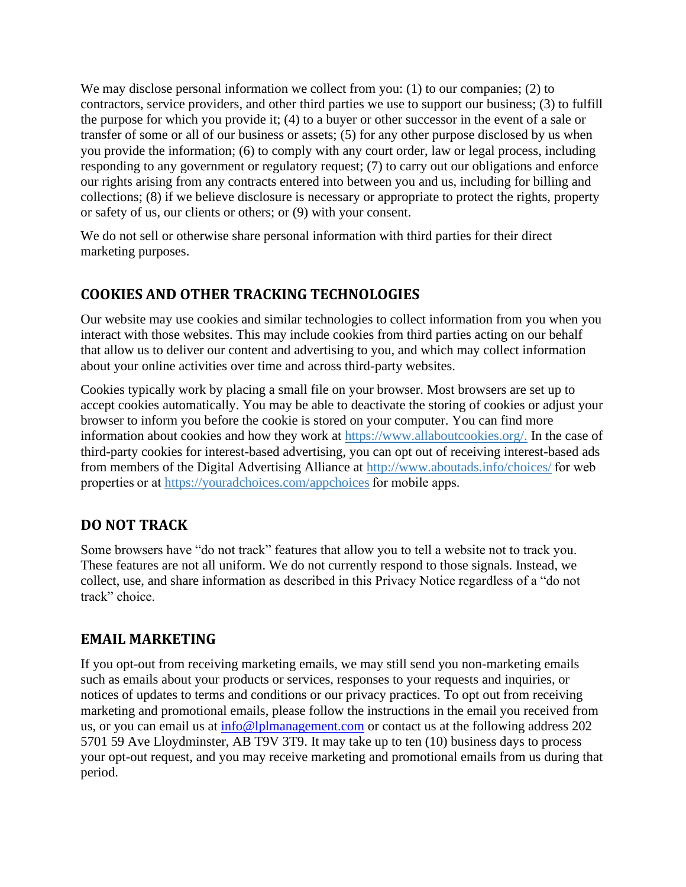We may disclose personal information we collect from you: (1) to our companies; (2) to contractors, service providers, and other third parties we use to support our business; (3) to fulfill the purpose for which you provide it; (4) to a buyer or other successor in the event of a sale or transfer of some or all of our business or assets; (5) for any other purpose disclosed by us when you provide the information; (6) to comply with any court order, law or legal process, including responding to any government or regulatory request; (7) to carry out our obligations and enforce our rights arising from any contracts entered into between you and us, including for billing and collections; (8) if we believe disclosure is necessary or appropriate to protect the rights, property or safety of us, our clients or others; or (9) with your consent.

We do not sell or otherwise share personal information with third parties for their direct marketing purposes.

# **COOKIES AND OTHER TRACKING TECHNOLOGIES**

Our website may use cookies and similar technologies to collect information from you when you interact with those websites. This may include cookies from third parties acting on our behalf that allow us to deliver our content and advertising to you, and which may collect information about your online activities over time and across third-party websites.

Cookies typically work by placing a small file on your browser. Most browsers are set up to accept cookies automatically. You may be able to deactivate the storing of cookies or adjust your browser to inform you before the cookie is stored on your computer. You can find more information about cookies and how they work at [https://www.allaboutcookies.org/.](https://www.allaboutcookies.org/) In the case of third-party cookies for interest-based advertising, you can opt out of receiving interest-based ads from members of the Digital Advertising Alliance at [http://www.aboutads.info/choices/ f](http://www.aboutads.info/choices/)or web properties or at <https://youradchoices.com/appchoices>for mobile apps.

## **DO NOT TRACK**

Some browsers have "do not track" features that allow you to tell a website not to track you. These features are not all uniform. We do not currently respond to those signals. Instead, we collect, use, and share information as described in this Privacy Notice regardless of a "do not track" choice.

#### **EMAIL MARKETING**

If you opt-out from receiving marketing emails, we may still send you non-marketing emails such as emails about your products or services, responses to your requests and inquiries, or notices of updates to terms and conditions or our privacy practices. To opt out from receiving marketing and promotional emails, please follow the instructions in the email you received from us, or you can email us at [info@lplmanagement.com](mailto:info@lplmanagement.com) or contact us at the following address 202 5701 59 Ave Lloydminster, AB T9V 3T9. It may take up to ten (10) business days to process your opt-out request, and you may receive marketing and promotional emails from us during that period.